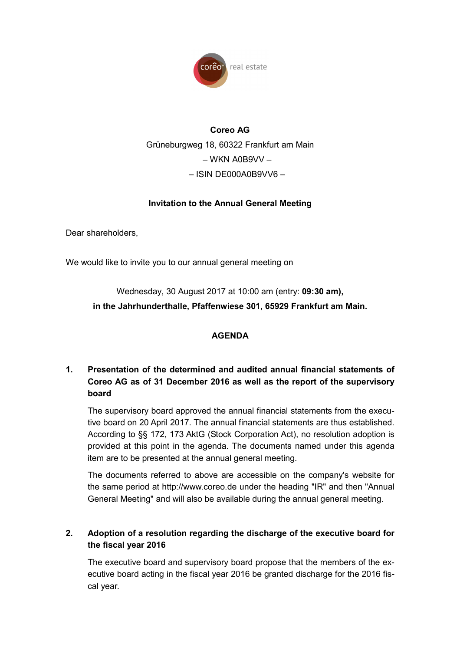

# **Coreo AG**  Grüneburgweg 18, 60322 Frankfurt am Main  $-WKN$  A0B9VV – – ISIN DE000A0B9VV6 –

## **Invitation to the Annual General Meeting**

Dear shareholders,

We would like to invite you to our annual general meeting on

Wednesday, 30 August 2017 at 10:00 am (entry: **09:30 am),** 

**in the Jahrhunderthalle, Pfaffenwiese 301, 65929 Frankfurt am Main.** 

#### **AGENDA**

# **1. Presentation of the determined and audited annual financial statements of Coreo AG as of 31 December 2016 as well as the report of the supervisory board**

The supervisory board approved the annual financial statements from the executive board on 20 April 2017. The annual financial statements are thus established. According to §§ 172, 173 AktG (Stock Corporation Act), no resolution adoption is provided at this point in the agenda. The documents named under this agenda item are to be presented at the annual general meeting.

The documents referred to above are accessible on the company's website for the same period at http://www.coreo.de under the heading "IR" and then "Annual General Meeting" and will also be available during the annual general meeting.

## **2. Adoption of a resolution regarding the discharge of the executive board for the fiscal year 2016**

The executive board and supervisory board propose that the members of the executive board acting in the fiscal year 2016 be granted discharge for the 2016 fiscal year.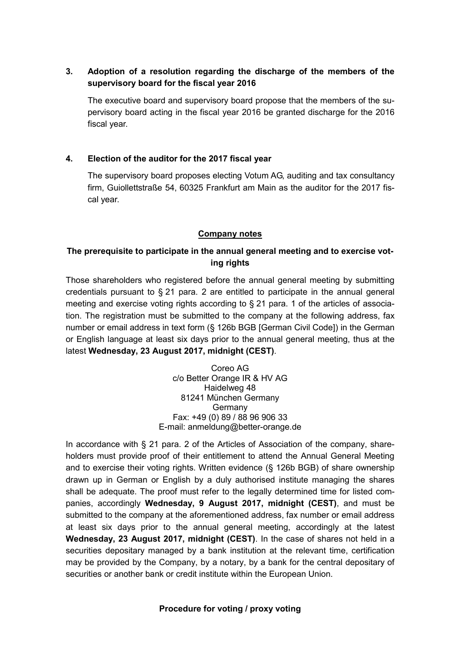## **3. Adoption of a resolution regarding the discharge of the members of the supervisory board for the fiscal year 2016**

The executive board and supervisory board propose that the members of the supervisory board acting in the fiscal year 2016 be granted discharge for the 2016 fiscal year.

## **4. Election of the auditor for the 2017 fiscal year**

The supervisory board proposes electing Votum AG, auditing and tax consultancy firm, Guiollettstraße 54, 60325 Frankfurt am Main as the auditor for the 2017 fiscal year.

#### **Company notes**

## **The prerequisite to participate in the annual general meeting and to exercise voting rights**

Those shareholders who registered before the annual general meeting by submitting credentials pursuant to  $\S 21$  para. 2 are entitled to participate in the annual general meeting and exercise voting rights according to  $\S$  21 para. 1 of the articles of association. The registration must be submitted to the company at the following address, fax number or email address in text form (§ 126b BGB [German Civil Code]) in the German or English language at least six days prior to the annual general meeting, thus at the latest **Wednesday, 23 August 2017, midnight (CEST)**.

> Coreo AG c/o Better Orange IR & HV AG Haidelweg 48 81241 München Germany Germany Fax: +49 (0) 89 / 88 96 906 33 E-mail: anmeldung@better-orange.de

In accordance with § 21 para. 2 of the Articles of Association of the company, shareholders must provide proof of their entitlement to attend the Annual General Meeting and to exercise their voting rights. Written evidence (§ 126b BGB) of share ownership drawn up in German or English by a duly authorised institute managing the shares shall be adequate. The proof must refer to the legally determined time for listed companies, accordingly **Wednesday, 9 August 2017, midnight (CEST)**, and must be submitted to the company at the aforementioned address, fax number or email address at least six days prior to the annual general meeting, accordingly at the latest **Wednesday, 23 August 2017, midnight (CEST)**. In the case of shares not held in a securities depositary managed by a bank institution at the relevant time, certification may be provided by the Company, by a notary, by a bank for the central depositary of securities or another bank or credit institute within the European Union.